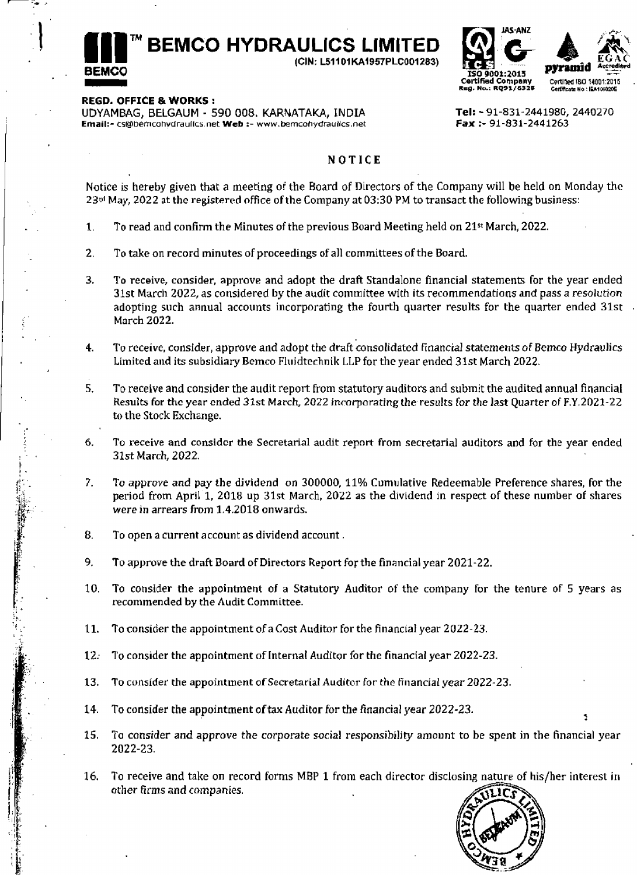



**REGD. OFFICE** *8* **WORKS** : **UDYAMBAG, BELGAUM** - **590 008. KARNATAKA, INDIA Email:- cs@bemcohydraullcs.net Web :- www.bemcohydraulics.net** 

**Tel:** - **91-831-2441980, 2440270 Fax** :- **91-831-2441263** 

## **NOTICE**

**Notice is hereby given that a meeting** of **the Board** of Directors **of** the **Company will be held** on **Monday thc**  23<sup>rd</sup> May, 2022 at the registered office of the Company at 03:30 PM to transact the following business:

- **1. To read** and **confirm the Minutes** of the **previous Board Meeting** held **on 2lst March, 2022.**
- 2. To **take on record minutes of proceedings of all committees of the Board.**
- **3. To receive, consider, approve and adopt the draft Standalone financial statements** for the year **ended 31st March 2022, as catuidered by** the **audit** cornnlittee **with its recommendations and pass a** resolution adopting such annual accounts incorporating the fourth quarter results for the quarter ended 31st March 2022.
- **4. To receive, consider, approve and adopt** the **draftknsolidated** financial **statements of** *Bemm* **Hydraulics**  Limited **and its subsidiary Bemco Fluidtechnik LLP for the year** ended **31st March 2022.**
- 5. **To receive and consider** the **audit** report from statutory auditors **and submit the audited annual financial Resuh for thc year ended 3Ist March,** 2022 *incarparating the results for the last* Quarter of **F.Y.2021-22 to the** Stock **Exchange.**
- **6.** To **receive and consider the Secretarial audit repnrt from secretarial auditors and for the year ended** .. **. 31st** *March,* 2022.
- **17.** To approve and pay the dividend on 300000, 11% Cumulative Redeemable Preference shares, for the **period from April 1, 2018 up 31st March, 2022 as the dividend** in respect **of these number of shares**  *were* **in arrears** from **1.4.2018 onwards.**
- **8.** To open a **current account as dividend account.**

 $\mathcal{L}^{\text{max}}$ 

i<br>|<br>| *r* - !?\*, -

:?.  $\sum_{i=1}^n \frac{1}{i!}$ 

- **9 To approve the** draft **Board** of **Directors Report for the financial year** 2021-22.
- 10. **To consider the appointment of a Statutory Auditor of** the **company** for the **tenure** of **5 years as**  recommended by the Audit Committee.
- k 11. **To consider the appointment of a Cost Auditor for the financial year 2022-23.<br>12. To consider the appointment of Internal Auditor for the financial year 2022-2.**
- **12 To consider the appointment of Internal Auditor** for **the financial year** *2022-23.*
- **13.** To consider the appointment of Secretarial Auditor for the financial year 2022-23.
- **14. To consider the appointment of tax Auditor** for the financial **year** 2022-23.
- **25. To consider and approve** *the corporate* **social responsibiljty** amount to be **spent in** the **financial year 2022-23.**
- 16. **To receive and** take on **record** forms MBP **1 from each director disclosing nature of his/her interest in**  *other firms* **and** *companies.*



f